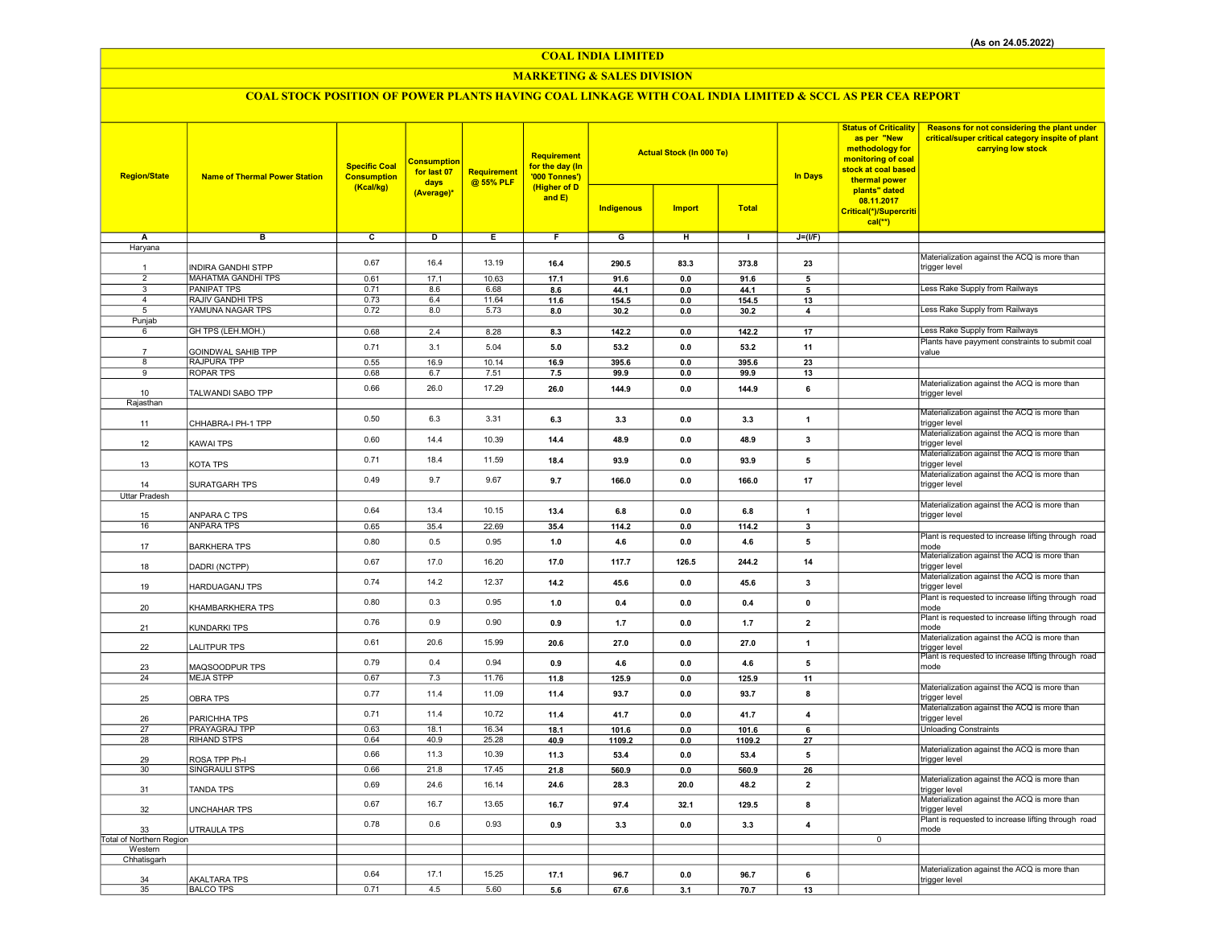COAL INDIA LIMITED

## MARKETING & SALES DIVISION

# COAL STOCK POSITION OF POWER PLANTS HAVING COAL LINKAGE WITH COAL INDIA LIMITED & SCCL AS PER CEA REPORT

| <b>Region/State</b>      | <b>Name of Thermal Power Station</b>   | <b>Specific Coal</b><br><b>Consumption</b><br>(Kcal/kg) | <b>Consumption</b><br>for last 07<br>days<br>(Average)* | <b>Requirement</b><br>@ 55% PLF | <b>Requirement</b><br>for the day (In<br>'000 Tonnes')<br>(Higher of D<br>and $E$ ) | <b>Indigenous</b> | <b>Actual Stock (In 000 Te)</b><br><b>Import</b> | <b>Total</b> | <b>In Days</b>          | <b>Status of Criticality</b><br>as per "New<br>methodology for<br>monitoring of coal<br>stock at coal based<br>thermal power<br>plants" dated<br>08.11.2017<br>Critical(*)/Supercriti<br>$cal$ (**) | Reasons for not considering the plant under<br>critical/super critical category inspite of plant<br>carrying low stock |
|--------------------------|----------------------------------------|---------------------------------------------------------|---------------------------------------------------------|---------------------------------|-------------------------------------------------------------------------------------|-------------------|--------------------------------------------------|--------------|-------------------------|-----------------------------------------------------------------------------------------------------------------------------------------------------------------------------------------------------|------------------------------------------------------------------------------------------------------------------------|
| Α                        | в                                      | $\overline{c}$                                          | D                                                       | Ε                               | F                                                                                   | G                 | н                                                | $\mathbf{L}$ | $J=(VF)$                |                                                                                                                                                                                                     |                                                                                                                        |
| Haryana                  |                                        |                                                         |                                                         |                                 |                                                                                     |                   |                                                  |              |                         |                                                                                                                                                                                                     | Materialization against the ACQ is more than                                                                           |
|                          | INDIRA GANDHI STPP                     | 0.67                                                    | 16.4                                                    | 13.19                           | 16.4                                                                                | 290.5             | 83.3                                             | 373.8        | 23                      |                                                                                                                                                                                                     | trigger level                                                                                                          |
| $\overline{2}$           | <b>MAHATMA GANDHI TPS</b>              | 0.61                                                    | 17.1                                                    | 10.63                           | 17.1                                                                                | 91.6              | 0.0                                              | 91.6         | 5                       |                                                                                                                                                                                                     |                                                                                                                        |
| $\overline{3}$           | <b>PANIPAT TPS</b>                     | 0.71                                                    | 8.6                                                     | 6.68                            | 8.6                                                                                 | 44.1              | 0.0                                              | 44.1         | 5                       |                                                                                                                                                                                                     | Less Rake Supply from Railways                                                                                         |
| $\overline{4}$           | <b>RAJIV GANDHI TPS</b>                | 0.73                                                    | 6.4                                                     | 11.64                           | 11.6                                                                                | 154.5             | $\bf 0.0$                                        | 154.5        | 13                      |                                                                                                                                                                                                     |                                                                                                                        |
| 5                        | YAMUNA NAGAR TPS                       | 0.72                                                    | 8.0                                                     | 5.73                            | 8.0                                                                                 | 30.2              | 0.0                                              | 30.2         | 4                       |                                                                                                                                                                                                     | Less Rake Supply from Railways                                                                                         |
| Punjab                   |                                        |                                                         |                                                         |                                 |                                                                                     |                   |                                                  |              |                         |                                                                                                                                                                                                     |                                                                                                                        |
| 6                        | GH TPS (LEH.MOH.)                      | 0.68                                                    | 2.4                                                     | 8.28                            | 8.3                                                                                 | 142.2             | 0.0                                              | 142.2        | 17                      |                                                                                                                                                                                                     | Less Rake Supply from Railways                                                                                         |
|                          |                                        | 0.71                                                    | 3.1                                                     | 5.04                            | 5.0                                                                                 | 53.2              | 0.0                                              | 53.2         | 11                      |                                                                                                                                                                                                     | Plants have payyment constraints to submit coal                                                                        |
| $\overline{7}$<br>8      | GOINDWAL SAHIB TPP<br>RAJPURA TPP      | 0.55                                                    | 16.9                                                    | 10.14                           | 16.9                                                                                | 395.6             | 0.0                                              | 395.6        | 23                      |                                                                                                                                                                                                     | value                                                                                                                  |
| 9                        | <b>ROPAR TPS</b>                       | 0.68                                                    | 6.7                                                     | 7.51                            | 7.5                                                                                 | 99.9              | 0.0                                              | 99.9         | 13                      |                                                                                                                                                                                                     |                                                                                                                        |
|                          |                                        |                                                         |                                                         |                                 |                                                                                     |                   |                                                  |              |                         |                                                                                                                                                                                                     | Materialization against the ACQ is more than                                                                           |
| 10                       | TALWANDI SABO TPP                      | 0.66                                                    | 26.0                                                    | 17.29                           | 26.0                                                                                | 144.9             | 0.0                                              | 144.9        | 6                       |                                                                                                                                                                                                     | trigger level                                                                                                          |
| Rajasthan                |                                        |                                                         |                                                         |                                 |                                                                                     |                   |                                                  |              |                         |                                                                                                                                                                                                     |                                                                                                                        |
|                          |                                        | 0.50                                                    | 6.3                                                     | 3.31                            | 6.3                                                                                 | 3.3               | 0.0                                              | 3.3          | $\mathbf{1}$            |                                                                                                                                                                                                     | Materialization against the ACQ is more than                                                                           |
| 11                       | CHHABRA-I PH-1 TPP                     |                                                         |                                                         |                                 |                                                                                     |                   |                                                  |              |                         |                                                                                                                                                                                                     | trigger level                                                                                                          |
|                          |                                        | 0.60                                                    | 14.4                                                    | 10.39                           | 14.4                                                                                | 48.9              | 0.0                                              | 48.9         | 3                       |                                                                                                                                                                                                     | Materialization against the ACQ is more than                                                                           |
| 12                       | <b>KAWAI TPS</b>                       |                                                         |                                                         |                                 |                                                                                     |                   |                                                  |              |                         |                                                                                                                                                                                                     | trigger level<br>Materialization against the ACQ is more than                                                          |
| 13                       | KOTA TPS                               | 0.71                                                    | 18.4                                                    | 11.59                           | 18.4                                                                                | 93.9              | 0.0                                              | 93.9         | 5                       |                                                                                                                                                                                                     | trigger level                                                                                                          |
|                          |                                        |                                                         |                                                         |                                 |                                                                                     |                   |                                                  |              |                         |                                                                                                                                                                                                     | Materialization against the ACQ is more than                                                                           |
| 14                       | SURATGARH TPS                          | 0.49                                                    | 9.7                                                     | 9.67                            | 9.7                                                                                 | 166.0             | 0.0                                              | 166.0        | 17                      |                                                                                                                                                                                                     | trigger level                                                                                                          |
| <b>Uttar Pradesh</b>     |                                        |                                                         |                                                         |                                 |                                                                                     |                   |                                                  |              |                         |                                                                                                                                                                                                     |                                                                                                                        |
|                          |                                        | 0.64                                                    | 13.4                                                    | 10.15                           | 13.4                                                                                | 6.8               | 0.0                                              | 6.8          | $\mathbf{1}$            |                                                                                                                                                                                                     | Materialization against the ACQ is more than                                                                           |
| 15                       | ANPARA C TPS                           |                                                         |                                                         |                                 |                                                                                     |                   |                                                  |              |                         |                                                                                                                                                                                                     | trigger level                                                                                                          |
| 16                       | <b>ANPARA TPS</b>                      | 0.65                                                    | 35.4                                                    | 22.69                           | 35.4                                                                                | 114.2             | 0.0                                              | 114.2        | 3                       |                                                                                                                                                                                                     |                                                                                                                        |
| 17                       | <b>BARKHERA TPS</b>                    | 0.80                                                    | 0.5                                                     | 0.95                            | 1.0                                                                                 | 4.6               | 0.0                                              | 4.6          | 5                       |                                                                                                                                                                                                     | Plant is requested to increase lifting through road<br>mode                                                            |
|                          |                                        |                                                         |                                                         |                                 |                                                                                     |                   |                                                  |              |                         |                                                                                                                                                                                                     | Materialization against the ACQ is more than                                                                           |
| 18                       | DADRI (NCTPP)                          | 0.67                                                    | 17.0                                                    | 16.20                           | 17.0                                                                                | 117.7             | 126.5                                            | 244.2        | 14                      |                                                                                                                                                                                                     | trigger level                                                                                                          |
|                          |                                        | 0.74                                                    | 14.2                                                    | 12.37                           | 14.2                                                                                | 45.6              | 0.0                                              | 45.6         | 3                       |                                                                                                                                                                                                     | Materialization against the ACQ is more than                                                                           |
| 19                       | <b>HARDUAGANJ TPS</b>                  |                                                         |                                                         |                                 |                                                                                     |                   |                                                  |              |                         |                                                                                                                                                                                                     | trigger level                                                                                                          |
|                          |                                        | 0.80                                                    | 0.3                                                     | 0.95                            | 1.0                                                                                 | 0.4               | 0.0                                              | 0.4          | $\mathbf{0}$            |                                                                                                                                                                                                     | Plant is requested to increase lifting through road                                                                    |
| 20                       | KHAMBARKHERA TPS                       |                                                         |                                                         |                                 |                                                                                     |                   |                                                  |              |                         |                                                                                                                                                                                                     | mode                                                                                                                   |
| 21                       | KUNDARKI TPS                           | 0.76                                                    | 0.9                                                     | 0.90                            | 0.9                                                                                 | 1.7               | 0.0                                              | 1.7          | $\overline{\mathbf{2}}$ |                                                                                                                                                                                                     | Plant is requested to increase lifting through road<br>mode                                                            |
|                          |                                        |                                                         |                                                         |                                 |                                                                                     |                   |                                                  |              |                         |                                                                                                                                                                                                     | Materialization against the ACQ is more than                                                                           |
| 22                       | <b>LALITPUR TPS</b>                    | 0.61                                                    | 20.6                                                    | 15.99                           | 20.6                                                                                | 27.0              | 0.0                                              | 27.0         | $\mathbf{1}$            |                                                                                                                                                                                                     | trigger level                                                                                                          |
|                          |                                        | 0.79                                                    | 0.4                                                     | 0.94                            | 0.9                                                                                 | 4.6               | 0.0                                              | 4.6          | 5                       |                                                                                                                                                                                                     | Plant is requested to increase lifting through road                                                                    |
| 23                       | MAQSOODPUR TPS                         |                                                         |                                                         |                                 |                                                                                     |                   |                                                  |              |                         |                                                                                                                                                                                                     | mode                                                                                                                   |
| 24                       | <b>MEJA STPP</b>                       | 0.67                                                    | 7.3                                                     | 11.76                           | 11.8                                                                                | 125.9             | 0.0                                              | 125.9        | 11                      |                                                                                                                                                                                                     | Materialization against the ACQ is more than                                                                           |
| 25                       | <b>OBRA TPS</b>                        | 0.77                                                    | 11.4                                                    | 11.09                           | 11.4                                                                                | 93.7              | 0.0                                              | 93.7         | 8                       |                                                                                                                                                                                                     | trigger level                                                                                                          |
|                          |                                        |                                                         |                                                         |                                 |                                                                                     |                   |                                                  |              |                         |                                                                                                                                                                                                     | Materialization against the ACQ is more than                                                                           |
| 26                       | PARICHHA TPS                           | 0.71                                                    | 11.4                                                    | 10.72                           | 11.4                                                                                | 41.7              | 0.0                                              | 41.7         | $\overline{\mathbf{4}}$ |                                                                                                                                                                                                     | trigger level                                                                                                          |
| 27                       | PRAYAGRAJ TPP                          | 0.63                                                    | 18.1                                                    | 16.34                           | 18.1                                                                                | 101.6             | 0.0                                              | 101.6        | 6                       |                                                                                                                                                                                                     | <b>Unloading Constraints</b>                                                                                           |
| 28                       | <b>RIHAND STPS</b>                     | 0.64                                                    | 40.9                                                    | 25.28                           | 40.9                                                                                | 1109.2            | 0.0                                              | 1109.2       | 27                      |                                                                                                                                                                                                     |                                                                                                                        |
|                          |                                        | 0.66                                                    | 11.3                                                    | 10.39                           | 11.3                                                                                | 53.4              | 0.0                                              | 53.4         | 5                       |                                                                                                                                                                                                     | Materialization against the ACQ is more than                                                                           |
| 29<br>30                 | ROSA TPP Ph-I<br><b>SINGRAULI STPS</b> | 0.66                                                    | 21.8                                                    | 17.45                           | 21.8                                                                                | 560.9             | 0.0                                              | 560.9        | 26                      |                                                                                                                                                                                                     | trigger level                                                                                                          |
|                          |                                        |                                                         |                                                         |                                 |                                                                                     |                   |                                                  |              |                         |                                                                                                                                                                                                     | Materialization against the ACQ is more than                                                                           |
| 31                       | <b>TANDA TPS</b>                       | 0.69                                                    | 24.6                                                    | 16.14                           | 24.6                                                                                | 28.3              | 20.0                                             | 48.2         | $\overline{2}$          |                                                                                                                                                                                                     | trigger level                                                                                                          |
|                          |                                        | 0.67                                                    | 16.7                                                    | 13.65                           | 16.7                                                                                | 97.4              | 32.1                                             | 129.5        | 8                       |                                                                                                                                                                                                     | Materialization against the ACQ is more than                                                                           |
| 32                       | <b>UNCHAHAR TPS</b>                    |                                                         |                                                         |                                 |                                                                                     |                   |                                                  |              |                         |                                                                                                                                                                                                     | trigger level                                                                                                          |
| 33                       | UTRAULA TPS                            | 0.78                                                    | 0.6                                                     | 0.93                            | 0.9                                                                                 | 3.3               | 0.0                                              | 3.3          | 4                       |                                                                                                                                                                                                     | Plant is requested to increase lifting through road<br>mode                                                            |
| Total of Northern Region |                                        |                                                         |                                                         |                                 |                                                                                     |                   |                                                  |              |                         | $\overline{0}$                                                                                                                                                                                      |                                                                                                                        |
| Western                  |                                        |                                                         |                                                         |                                 |                                                                                     |                   |                                                  |              |                         |                                                                                                                                                                                                     |                                                                                                                        |
| Chhatisgarh              |                                        |                                                         |                                                         |                                 |                                                                                     |                   |                                                  |              |                         |                                                                                                                                                                                                     |                                                                                                                        |
|                          |                                        | 0.64                                                    | 17.1                                                    | 15.25                           | 17.1                                                                                | 96.7              | 0.0                                              | 96.7         | 6                       |                                                                                                                                                                                                     | Materialization against the ACQ is more than                                                                           |
| 34                       | <b>AKALTARA TPS</b>                    | 0.71                                                    | 4.5                                                     | 5.60                            |                                                                                     |                   |                                                  |              |                         |                                                                                                                                                                                                     | trigger level                                                                                                          |
| 35                       | <b>BALCO TPS</b>                       |                                                         |                                                         |                                 | 5.6                                                                                 | 67.6              | 3.1                                              | 70.7         | 13                      |                                                                                                                                                                                                     |                                                                                                                        |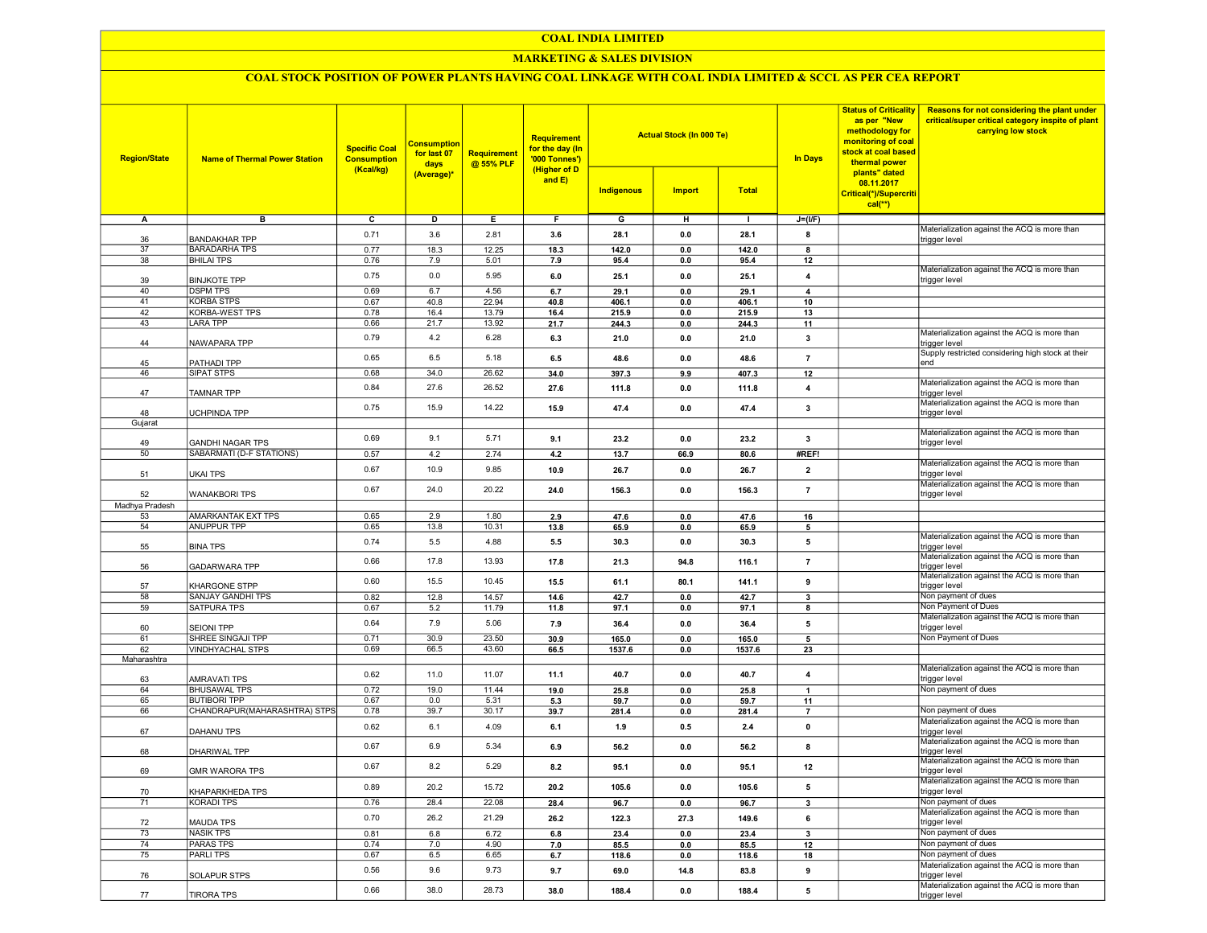## COAL INDIA LIMITED

# MARKETING & SALES DIVISION

# COAL STOCK POSITION OF POWER PLANTS HAVING COAL LINKAGE WITH COAL INDIA LIMITED & SCCL AS PER CEA REPORT

| <b>Region/State</b> | <b>Name of Thermal Power Station</b>       | <b>Specific Coal</b><br><b>Consumption</b><br>(Kcal/kg) | <b>Consumption</b><br>for last 07<br>days<br>(Average)* | Requirement<br>@ 55% PLF | Requirement<br>for the day (In<br>'000 Tonnes')<br>(Higher of D<br>and $E$ ) | Indigenous     | <b>Actual Stock (In 000 Te)</b><br><b>Import</b> | <b>Total</b>   | <b>In Days</b>     | <b>Status of Criticality</b><br>as per "New<br>methodology for<br>monitoring of coal<br>stock at coal based<br>thermal power<br>plants" dated<br>08.11.2017<br>Critical(*)/Supercriti<br>$cal$ <sup>**</sup> ) | Reasons for not considering the plant under<br>critical/super critical category inspite of plant<br>carrying low stock |
|---------------------|--------------------------------------------|---------------------------------------------------------|---------------------------------------------------------|--------------------------|------------------------------------------------------------------------------|----------------|--------------------------------------------------|----------------|--------------------|----------------------------------------------------------------------------------------------------------------------------------------------------------------------------------------------------------------|------------------------------------------------------------------------------------------------------------------------|
| А                   | в                                          | c                                                       | D                                                       | Е.                       | F.                                                                           | G              | н                                                | л.             | $J=(I/F)$          |                                                                                                                                                                                                                |                                                                                                                        |
|                     | <b>BANDAKHAR TPP</b>                       | 0.71                                                    | 3.6                                                     | 2.81                     | 3.6                                                                          | 28.1           | 0.0                                              | 28.1           | 8                  |                                                                                                                                                                                                                | Materialization against the ACQ is more than                                                                           |
| 36<br>37            | <b>BARADARHA TPS</b>                       | 0.77                                                    | 18.3                                                    | 12.25                    | 18.3                                                                         | 142.0          | 0.0                                              | 142.0          | 8                  |                                                                                                                                                                                                                | trigger level                                                                                                          |
| 38                  | <b>BHILAI TPS</b>                          | 0.76                                                    | 7.9                                                     | 5.01                     | 7.9                                                                          | 95.4           | 0.0                                              | 95.4           | 12                 |                                                                                                                                                                                                                |                                                                                                                        |
|                     |                                            | 0.75                                                    | 0.0                                                     | 5.95                     | 6.0                                                                          | 25.1           | 0.0                                              | 25.1           |                    |                                                                                                                                                                                                                | Materialization against the ACQ is more than                                                                           |
| 39                  | <b>BINJKOTE TPP</b>                        |                                                         |                                                         |                          |                                                                              |                |                                                  |                | 4                  |                                                                                                                                                                                                                | trigger level                                                                                                          |
| 40                  | <b>DSPM TPS</b>                            | 0.69                                                    | 6.7                                                     | 4.56                     | 6.7                                                                          | 29.1           | 0.0                                              | 29.1           | 4                  |                                                                                                                                                                                                                |                                                                                                                        |
| 41<br>42            | <b>KORBA STPS</b><br><b>KORBA-WEST TPS</b> | 0.67<br>0.78                                            | 40.8<br>16.4                                            | 22.94<br>13.79           | 40.8                                                                         | 406.1          | 0.0                                              | 406.1          | 10                 |                                                                                                                                                                                                                |                                                                                                                        |
| 43                  | LARA TPP                                   | 0.66                                                    | 21.7                                                    | 13.92                    | 16.4<br>21.7                                                                 | 215.9<br>244.3 | 0.0<br>0.0                                       | 215.9<br>244.3 | 13<br>11           |                                                                                                                                                                                                                |                                                                                                                        |
|                     |                                            |                                                         |                                                         |                          |                                                                              |                |                                                  |                |                    |                                                                                                                                                                                                                | Materialization against the ACQ is more than                                                                           |
| 44                  | NAWAPARA TPP                               | 0.79                                                    | 4.2                                                     | 6.28                     | 6.3                                                                          | 21.0           | 0.0                                              | 21.0           | 3                  |                                                                                                                                                                                                                | trigger level                                                                                                          |
| 45                  | PATHADI TPP                                | 0.65                                                    | 6.5                                                     | 5.18                     | 6.5                                                                          | 48.6           | 0.0                                              | 48.6           | $\overline{7}$     |                                                                                                                                                                                                                | Supply restricted considering high stock at their<br>end                                                               |
| 46                  | <b>SIPAT STPS</b>                          | 0.68                                                    | 34.0                                                    | 26.62                    | 34.0                                                                         | 397.3          | 9.9                                              | 407.3          | 12                 |                                                                                                                                                                                                                |                                                                                                                        |
|                     |                                            |                                                         |                                                         |                          |                                                                              |                |                                                  |                |                    |                                                                                                                                                                                                                | Materialization against the ACQ is more than                                                                           |
| 47                  | TAMNAR TPP                                 | 0.84                                                    | 27.6                                                    | 26.52                    | 27.6                                                                         | 111.8          | 0.0                                              | 111.8          | 4                  |                                                                                                                                                                                                                | trigger level                                                                                                          |
|                     |                                            | 0.75                                                    | 15.9                                                    | 14.22                    | 15.9                                                                         | 47.4           | 0.0                                              | 47.4           | 3                  |                                                                                                                                                                                                                | Materialization against the ACQ is more than                                                                           |
| 48                  | UCHPINDA TPP                               |                                                         |                                                         |                          |                                                                              |                |                                                  |                |                    |                                                                                                                                                                                                                | trigger level                                                                                                          |
| Gujarat             |                                            |                                                         |                                                         |                          |                                                                              |                |                                                  |                |                    |                                                                                                                                                                                                                | Materialization against the ACQ is more than                                                                           |
| 49                  | <b>GANDHI NAGAR TPS</b>                    | 0.69                                                    | 9.1                                                     | 5.71                     | 9.1                                                                          | 23.2           | 0.0                                              | 23.2           | $\mathbf{3}$       |                                                                                                                                                                                                                | trigger level                                                                                                          |
| 50                  | SABARMATI (D-F STATIONS)                   | 0.57                                                    | 4.2                                                     | 2.74                     | 4.2                                                                          | 13.7           | 66.9                                             | 80.6           | #REF!              |                                                                                                                                                                                                                |                                                                                                                        |
|                     |                                            | 0.67                                                    | 10.9                                                    | 9.85                     | 10.9                                                                         | 26.7           | 0.0                                              | 26.7           | $\overline{2}$     |                                                                                                                                                                                                                | Materialization against the ACQ is more than                                                                           |
| 51                  | <b>UKAI TPS</b>                            |                                                         |                                                         |                          |                                                                              |                |                                                  |                |                    |                                                                                                                                                                                                                | trigger level                                                                                                          |
| 52                  | <b>WANAKBORI TPS</b>                       | 0.67                                                    | 24.0                                                    | 20.22                    | 24.0                                                                         | 156.3          | 0.0                                              | 156.3          | $\overline{7}$     |                                                                                                                                                                                                                | Materialization against the ACQ is more than<br>trigger level                                                          |
| Madhya Pradesh      |                                            |                                                         |                                                         |                          |                                                                              |                |                                                  |                |                    |                                                                                                                                                                                                                |                                                                                                                        |
| 53                  | <b>AMARKANTAK EXT TPS</b>                  | 0.65                                                    | 2.9                                                     | 1.80                     | 2.9                                                                          | 47.6           | 0.0                                              | 47.6           | 16                 |                                                                                                                                                                                                                |                                                                                                                        |
| 54                  | <b>ANUPPUR TPP</b>                         | 0.65                                                    | 13.8                                                    | 10.31                    | 13.8                                                                         | 65.9           | 0.0                                              | 65.9           | 5                  |                                                                                                                                                                                                                |                                                                                                                        |
|                     |                                            | 0.74                                                    | 5.5                                                     | 4.88                     | 5.5                                                                          | 30.3           | 0.0                                              | 30.3           | 5                  |                                                                                                                                                                                                                | Materialization against the ACQ is more than                                                                           |
| 55                  | <b>BINA TPS</b>                            |                                                         |                                                         |                          |                                                                              |                |                                                  |                |                    |                                                                                                                                                                                                                | trigger level                                                                                                          |
| 56                  | <b>GADARWARA TPP</b>                       | 0.66                                                    | 17.8                                                    | 13.93                    | 17.8                                                                         | 21.3           | 94.8                                             | 116.1          | $\overline{7}$     |                                                                                                                                                                                                                | Materialization against the ACQ is more than<br>trigger level                                                          |
|                     |                                            |                                                         |                                                         |                          |                                                                              |                |                                                  |                |                    |                                                                                                                                                                                                                | Materialization against the ACQ is more than                                                                           |
| 57                  | KHARGONE STPP                              | 0.60                                                    | 15.5                                                    | 10.45                    | 15.5                                                                         | 61.1           | 80.1                                             | 141.1          | 9                  |                                                                                                                                                                                                                | trigger level                                                                                                          |
| 58                  | SANJAY GANDHI TPS                          | 0.82                                                    | 12.8                                                    | 14.57                    | 14.6                                                                         | 42.7           | 0.0                                              | 42.7           | 3                  |                                                                                                                                                                                                                | Non payment of dues                                                                                                    |
| 59                  | SATPURA TPS                                | 0.67                                                    | 5.2                                                     | 11.79                    | 11.8                                                                         | 97.1           | 0.0                                              | 97.1           | 8                  |                                                                                                                                                                                                                | Non Payment of Dues                                                                                                    |
| 60                  | <b>SEIONI TPP</b>                          | 0.64                                                    | 7.9                                                     | 5.06                     | 7.9                                                                          | 36.4           | 0.0                                              | 36.4           | 5                  |                                                                                                                                                                                                                | Materialization against the ACQ is more than<br>trigger level                                                          |
| 61                  | SHREE SINGAJI TPP                          | 0.71                                                    | 30.9                                                    | 23.50                    | 30.9                                                                         | 165.0          | 0.0                                              | 165.0          | 5                  |                                                                                                                                                                                                                | Non Payment of Dues                                                                                                    |
| 62                  | <b>VINDHYACHAL STPS</b>                    | 0.69                                                    | 66.5                                                    | 43.60                    | 66.5                                                                         | 1537.6         | 0.0                                              | 1537.6         | 23                 |                                                                                                                                                                                                                |                                                                                                                        |
| Maharashtra         |                                            |                                                         |                                                         |                          |                                                                              |                |                                                  |                |                    |                                                                                                                                                                                                                |                                                                                                                        |
|                     |                                            | 0.62                                                    | 11.0                                                    | 11.07                    | 11.1                                                                         | 40.7           | 0.0                                              | 40.7           | $\overline{4}$     |                                                                                                                                                                                                                | Materialization against the ACQ is more than                                                                           |
| 63                  | <b>AMRAVATI TPS</b>                        |                                                         |                                                         |                          |                                                                              |                |                                                  |                |                    |                                                                                                                                                                                                                | trigger level<br>Non payment of dues                                                                                   |
| 64<br>65            | <b>BHUSAWAL TPS</b><br><b>BUTIBORI TPP</b> | 0.72<br>0.67                                            | 19.0<br>0.0                                             | 11.44<br>5.31            | 19.0<br>5.3                                                                  | 25.8<br>59.7   | 0.0<br>0.0                                       | 25.8<br>59.7   | $\mathbf{1}$<br>11 |                                                                                                                                                                                                                |                                                                                                                        |
| 66                  | CHANDRAPUR(MAHARASHTRA) STPS               | 0.78                                                    | 39.7                                                    | 30.17                    | 39.7                                                                         | 281.4          | 0.0                                              | 281.4          | $\overline{7}$     |                                                                                                                                                                                                                | Non payment of dues                                                                                                    |
|                     |                                            |                                                         |                                                         |                          |                                                                              |                |                                                  |                |                    |                                                                                                                                                                                                                | Materialization against the ACQ is more than                                                                           |
| 67                  | <b>DAHANU TPS</b>                          | 0.62                                                    | 6.1                                                     | 4.09                     | 6.1                                                                          | 1.9            | 0.5                                              | 2.4            | $\mathbf 0$        |                                                                                                                                                                                                                | trigger level                                                                                                          |
|                     |                                            | 0.67                                                    | 6.9                                                     | 5.34                     | 6.9                                                                          | 56.2           | 0.0                                              | 56.2           | 8                  |                                                                                                                                                                                                                | Materialization against the ACQ is more than                                                                           |
| 68                  | DHARIWAL TPP                               |                                                         |                                                         |                          |                                                                              |                |                                                  |                |                    |                                                                                                                                                                                                                | trigger level<br>Materialization against the ACQ is more than                                                          |
| 69                  | <b>GMR WARORA TPS</b>                      | 0.67                                                    | 8.2                                                     | 5.29                     | 8.2                                                                          | 95.1           | 0.0                                              | 95.1           | 12                 |                                                                                                                                                                                                                | trigger level                                                                                                          |
|                     |                                            | 0.89                                                    | 20.2                                                    | 15.72                    |                                                                              |                | 0.0                                              | 105.6          | 5                  |                                                                                                                                                                                                                | Materialization against the ACQ is more than                                                                           |
| 70                  | KHAPARKHEDA TPS                            |                                                         |                                                         |                          | 20.2                                                                         | 105.6          |                                                  |                |                    |                                                                                                                                                                                                                | trigger level                                                                                                          |
| 71                  | <b>KORADI TPS</b>                          | 0.76                                                    | 28.4                                                    | 22.08                    | 28.4                                                                         | 96.7           | $0.0\,$                                          | 96.7           | 3                  |                                                                                                                                                                                                                | Non payment of dues<br>Materialization against the ACQ is more than                                                    |
| 72                  | <b>MAUDA TPS</b>                           | 0.70                                                    | 26.2                                                    | 21.29                    | 26.2                                                                         | 122.3          | 27.3                                             | 149.6          | 6                  |                                                                                                                                                                                                                | trigger level                                                                                                          |
| 73                  | <b>NASIK TPS</b>                           | 0.81                                                    | 6.8                                                     | 6.72                     | 6.8                                                                          | 23.4           | 0.0                                              | 23.4           | 3                  |                                                                                                                                                                                                                | Non payment of dues                                                                                                    |
| 74                  | <b>PARAS TPS</b>                           | 0.74                                                    | 7.0                                                     | 4.90                     | 7.0                                                                          | 85.5           | 0.0                                              | 85.5           | 12                 |                                                                                                                                                                                                                | Non payment of dues                                                                                                    |
| 75                  | <b>PARLITPS</b>                            | 0.67                                                    | 6.5                                                     | 6.65                     | 6.7                                                                          | 118.6          | 0.0                                              | 118.6          | 18                 |                                                                                                                                                                                                                | Non payment of dues                                                                                                    |
|                     |                                            |                                                         |                                                         |                          |                                                                              |                |                                                  |                |                    |                                                                                                                                                                                                                | Materialization against the ACQ is more than                                                                           |
| 76                  | <b>SOLAPUR STPS</b>                        | 0.56                                                    | 9.6                                                     | 9.73                     | 9.7                                                                          | 69.0           | 14.8                                             | 83.8           | 9                  |                                                                                                                                                                                                                | trigger level                                                                                                          |
|                     |                                            | 0.66                                                    | 38.0                                                    | 28.73                    | 38.0                                                                         | 188.4          | 0.0                                              | 188.4          | 5                  |                                                                                                                                                                                                                | Materialization against the ACQ is more than                                                                           |
| 77                  | <b>TIRORA TPS</b>                          |                                                         |                                                         |                          |                                                                              |                |                                                  |                |                    |                                                                                                                                                                                                                | trigger level                                                                                                          |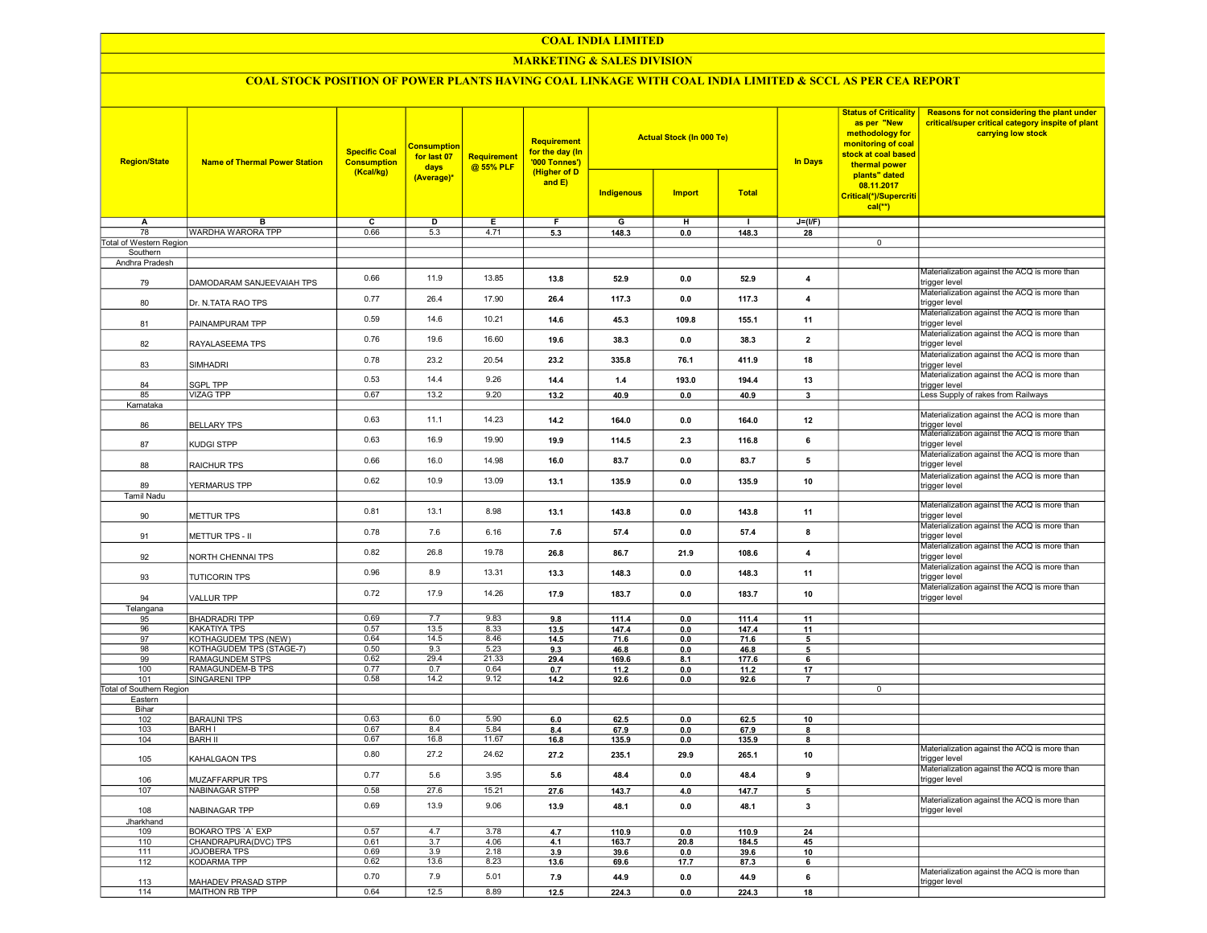#### COAL INDIA LIMITED

## **MARKETING & SALES DIVISION**

# COAL STOCK POSITION OF POWER PLANTS HAVING COAL LINKAGE WITH COAL INDIA LIMITED & SCCL AS PER CEA REPORT

| <b>Region/State</b>             | <b>Name of Thermal Power Station</b> | <b>Specific Coal</b><br><b>Consumption</b><br>(Kcal/kg) | <b>Consumption</b><br>for last 07<br>days<br>(Average)* | Requirement<br>@ 55% PLF | <b>Requirement</b><br>for the day (In<br>'000 Tonnes')<br>(Higher of D<br>and $E$ ) |            | <b>Actual Stock (In 000 Te)</b> |              | <b>In Days</b> | <b>Status of Criticality</b><br>as per "New<br>methodology for<br>monitoring of coal<br>stock at coal based<br>thermal power<br>plants" dated<br>08.11.2017<br>Critical(*)/Supercriti<br>$cal$ (**) | Reasons for not considering the plant under<br>critical/super critical category inspite of plant<br>carrying low stock |
|---------------------------------|--------------------------------------|---------------------------------------------------------|---------------------------------------------------------|--------------------------|-------------------------------------------------------------------------------------|------------|---------------------------------|--------------|----------------|-----------------------------------------------------------------------------------------------------------------------------------------------------------------------------------------------------|------------------------------------------------------------------------------------------------------------------------|
|                                 |                                      |                                                         |                                                         |                          |                                                                                     | Indigenous | <b>Import</b>                   | <b>Total</b> |                |                                                                                                                                                                                                     |                                                                                                                        |
| A                               | в                                    | $\overline{c}$                                          | $\overline{D}$                                          | Е                        | F                                                                                   | G          | н                               | $\mathbf{I}$ | $J=(VF)$       |                                                                                                                                                                                                     |                                                                                                                        |
| 78                              | <b>WARDHA WARORA TPP</b>             | 0.66                                                    | 5.3                                                     | 4.71                     | 5.3                                                                                 | 148.3      | 0.0                             | 148.3        | 28             |                                                                                                                                                                                                     |                                                                                                                        |
| Total of Western Region         |                                      |                                                         |                                                         |                          |                                                                                     |            |                                 |              |                | $\overline{0}$                                                                                                                                                                                      |                                                                                                                        |
| Southern                        |                                      |                                                         |                                                         |                          |                                                                                     |            |                                 |              |                |                                                                                                                                                                                                     |                                                                                                                        |
| Andhra Pradesh                  |                                      | 0.66                                                    | 11.9                                                    | 13.85                    |                                                                                     |            |                                 |              |                |                                                                                                                                                                                                     | Materialization against the ACQ is more than                                                                           |
| 79                              | DAMODARAM SANJEEVAIAH TPS            |                                                         |                                                         |                          | 13.8                                                                                | 52.9       | 0.0                             | 52.9         | 4              |                                                                                                                                                                                                     | trigger level<br>Materialization against the ACQ is more than                                                          |
| 80                              | Dr. N.TATA RAO TPS                   | 0.77                                                    | 26.4                                                    | 17.90                    | 26.4                                                                                | 117.3      | 0.0                             | 117.3        | 4              |                                                                                                                                                                                                     | trigger level<br>Materialization against the ACQ is more than                                                          |
| 81                              | PAINAMPURAM TPP                      | 0.59                                                    | 14.6                                                    | 10.21                    | 14.6                                                                                | 45.3       | 109.8                           | 155.1        | 11             |                                                                                                                                                                                                     | trigger level                                                                                                          |
| 82                              | RAYALASEEMA TPS                      | 0.76                                                    | 19.6                                                    | 16.60                    | 19.6                                                                                | 38.3       | 0.0                             | 38.3         | $\mathbf{2}$   |                                                                                                                                                                                                     | Materialization against the ACQ is more than<br>trigger level                                                          |
| 83                              | SIMHADRI                             | 0.78                                                    | 23.2                                                    | 20.54                    | 23.2                                                                                | 335.8      | 76.1                            | 411.9        | 18             |                                                                                                                                                                                                     | Materialization against the ACQ is more than<br>trigger level                                                          |
| 84                              | <b>SGPL TPP</b>                      | 0.53                                                    | 14.4                                                    | 9.26                     | 14.4                                                                                | 1.4        | 193.0                           | 194.4        | 13             |                                                                                                                                                                                                     | Materialization against the ACQ is more than<br>trigger level                                                          |
| 85                              | <b>VIZAG TPP</b>                     | 0.67                                                    | 13.2                                                    | 9.20                     | 13.2                                                                                | 40.9       | 0.0                             | 40.9         | 3              |                                                                                                                                                                                                     | Less Supply of rakes from Railways                                                                                     |
| Karnataka                       |                                      |                                                         |                                                         |                          |                                                                                     |            |                                 |              |                |                                                                                                                                                                                                     |                                                                                                                        |
| 86                              | <b>BELLARY TPS</b>                   | 0.63                                                    | 11.1                                                    | 14.23                    | 14.2                                                                                | 164.0      | 0.0                             | 164.0        | 12             |                                                                                                                                                                                                     | Materialization against the ACQ is more than<br>trigger level                                                          |
| 87                              | <b>KUDGI STPP</b>                    | 0.63                                                    | 16.9                                                    | 19.90                    | 19.9                                                                                | 114.5      | 2.3                             | 116.8        | 6              |                                                                                                                                                                                                     | Materialization against the ACQ is more than<br>trigger level                                                          |
| 88                              | RAICHUR TPS                          | 0.66                                                    | 16.0                                                    | 14.98                    | 16.0                                                                                | 83.7       | 0.0                             | 83.7         | 5              |                                                                                                                                                                                                     | Materialization against the ACQ is more than<br>trigger level                                                          |
| 89                              | YERMARUS TPP                         | 0.62                                                    | 10.9                                                    | 13.09                    | 13.1                                                                                | 135.9      | 0.0                             | 135.9        | 10             |                                                                                                                                                                                                     | Materialization against the ACQ is more than<br>trigger level                                                          |
| <b>Tamil Nadu</b>               |                                      |                                                         |                                                         |                          |                                                                                     |            |                                 |              |                |                                                                                                                                                                                                     |                                                                                                                        |
| 90                              | <b>METTUR TPS</b>                    | 0.81                                                    | 13.1                                                    | 8.98                     | 13.1                                                                                | 143.8      | 0.0                             | 143.8        | 11             |                                                                                                                                                                                                     | Materialization against the ACQ is more than<br>trigger level                                                          |
| 91                              | METTUR TPS - II                      | 0.78                                                    | 7.6                                                     | 6.16                     | 7.6                                                                                 | 57.4       | 0.0                             | 57.4         | 8              |                                                                                                                                                                                                     | Materialization against the ACQ is more than<br>trigger level                                                          |
| 92                              | NORTH CHENNAI TPS                    | 0.82                                                    | 26.8                                                    | 19.78                    | 26.8                                                                                | 86.7       | 21.9                            | 108.6        | $\overline{4}$ |                                                                                                                                                                                                     | Materialization against the ACQ is more than<br>trigger level                                                          |
| 93                              | <b>TUTICORIN TPS</b>                 | 0.96                                                    | 8.9                                                     | 13.31                    | 13.3                                                                                | 148.3      | 0.0                             | 148.3        | 11             |                                                                                                                                                                                                     | Materialization against the ACQ is more than<br>trigger level                                                          |
| 94                              | <b>VALLUR TPP</b>                    | 0.72                                                    | 17.9                                                    | 14.26                    | 17.9                                                                                | 183.7      | 0.0                             | 183.7        | 10             |                                                                                                                                                                                                     | Materialization against the ACQ is more than<br>trigger level                                                          |
| Telangana                       |                                      |                                                         |                                                         |                          |                                                                                     |            |                                 |              |                |                                                                                                                                                                                                     |                                                                                                                        |
| 95                              | <b>BHADRADRI TPP</b>                 | 0.69                                                    | 7.7                                                     | 9.83                     | 9.8                                                                                 | 111.4      | 0.0                             | 111.4        | 11             |                                                                                                                                                                                                     |                                                                                                                        |
| 96                              | <b>KAKATIYA TPS</b>                  | 0.57                                                    | 13.5                                                    | 8.33                     | 13.5                                                                                | 147.4      | 0.0                             | 147.4        | 11             |                                                                                                                                                                                                     |                                                                                                                        |
| 97                              | <b>KOTHAGUDEM TPS (NEW)</b>          | 0.64                                                    | 14.5                                                    | 8.46                     | 14.5                                                                                | 71.6       | 0.0                             | 71.6         | 5              |                                                                                                                                                                                                     |                                                                                                                        |
| 98                              | KOTHAGUDEM TPS (STAGE-7)             | 0.50                                                    | 9.3                                                     | 5.23                     | 9.3                                                                                 | 46.8       | 0.0                             | 46.8         | 5              |                                                                                                                                                                                                     |                                                                                                                        |
| 99                              | <b>RAMAGUNDEM STPS</b>               | 0.62                                                    | 29.4                                                    | 21.33                    | 29.4                                                                                | 169.6      | 8.1                             | 177.6        | 6              |                                                                                                                                                                                                     |                                                                                                                        |
| 100                             | RAMAGUNDEM-B TPS<br>SINGARENI TPP    | 0.77<br>0.58                                            | 0.7<br>14.2                                             | 0.64<br>9.12             | 0.7                                                                                 | 11.2       | 0.0                             | 11.2         | 17             |                                                                                                                                                                                                     |                                                                                                                        |
| 101<br>Total of Southern Region |                                      |                                                         |                                                         |                          | 14.2                                                                                | 92.6       | 0.0                             | 92.6         | $\overline{7}$ | $\overline{0}$                                                                                                                                                                                      |                                                                                                                        |
| Eastern                         |                                      |                                                         |                                                         |                          |                                                                                     |            |                                 |              |                |                                                                                                                                                                                                     |                                                                                                                        |
| Bihar                           |                                      |                                                         |                                                         |                          |                                                                                     |            |                                 |              |                |                                                                                                                                                                                                     |                                                                                                                        |
| 102                             | <b>BARAUNI TPS</b>                   | 0.63                                                    | 6.0                                                     | 5.90                     | 6.0                                                                                 | 62.5       | 0.0                             | 62.5         | 10             |                                                                                                                                                                                                     |                                                                                                                        |
| 103                             | <b>BARH I</b>                        | 0.67                                                    | 8.4                                                     | 5.84                     | 8.4                                                                                 | 67.9       | 0.0                             | 67.9         | 8              |                                                                                                                                                                                                     |                                                                                                                        |
| 104                             | <b>BARH II</b>                       | 0.67                                                    | 16.8                                                    | 11.67                    | 16.8                                                                                | 135.9      | 0.0                             | 135.9        | 8              |                                                                                                                                                                                                     |                                                                                                                        |
| 105                             | KAHALGAON TPS                        | 0.80                                                    | 27.2                                                    | 24.62                    | 27.2                                                                                | 235.1      | 29.9                            | 265.1        | 10             |                                                                                                                                                                                                     | Materialization against the ACQ is more than<br>trigger level                                                          |
| 106                             | MUZAFFARPUR TPS                      | 0.77                                                    | 5.6                                                     | 3.95                     | 5.6                                                                                 | 48.4       | 0.0                             | 48.4         | 9              |                                                                                                                                                                                                     | Materialization against the ACQ is more than<br>trigger level                                                          |
| 107                             | NABINAGAR STPP                       | 0.58                                                    | 27.6                                                    | 15.21                    | 27.6                                                                                | 143.7      | 4.0                             | 147.7        | 5              |                                                                                                                                                                                                     |                                                                                                                        |
| 108                             | NABINAGAR TPP                        | 0.69                                                    | 13.9                                                    | 9.06                     | 13.9                                                                                | 48.1       | 0.0                             | 48.1         | 3              |                                                                                                                                                                                                     | Materialization against the ACQ is more than<br>trigger level                                                          |
| Jharkhand                       |                                      |                                                         |                                                         |                          |                                                                                     |            |                                 |              |                |                                                                                                                                                                                                     |                                                                                                                        |
| 109                             | BOKARO TPS 'A' EXP                   | 0.57                                                    | 4.7                                                     | 3.78                     | 4.7                                                                                 | 110.9      | 0.0                             | 110.9        | 24             |                                                                                                                                                                                                     |                                                                                                                        |
| 110                             | CHANDRAPURA(DVC) TPS                 | 0.61                                                    | 3.7                                                     | 4.06                     | 4.1                                                                                 | 163.7      | 20.8                            | 184.5        | 45             |                                                                                                                                                                                                     |                                                                                                                        |
| 111                             | JOJOBERA TPS                         | 0.69                                                    | 3.9                                                     | 2.18                     | 3.9                                                                                 | 39.6       | 0.0                             | 39.6         | 10             |                                                                                                                                                                                                     |                                                                                                                        |
| 112                             | <b>KODARMA TPP</b>                   | 0.62                                                    | 13.6                                                    | 8.23                     | 13.6                                                                                | 69.6       | 17.7                            | 87.3         | 6              |                                                                                                                                                                                                     |                                                                                                                        |
| 113                             | MAHADEV PRASAD STPP                  | 0.70                                                    | 7.9                                                     | 5.01                     | 7.9                                                                                 | 44.9       | 0.0                             | 44.9         | 6              |                                                                                                                                                                                                     | Materialization against the ACQ is more than<br>trigger level                                                          |
| 114                             | MAITHON RB TPP                       | 0.64                                                    | 12.5                                                    | 8.89                     | 12.5                                                                                | 224.3      | 0.0                             | 224.3        | 18             |                                                                                                                                                                                                     |                                                                                                                        |